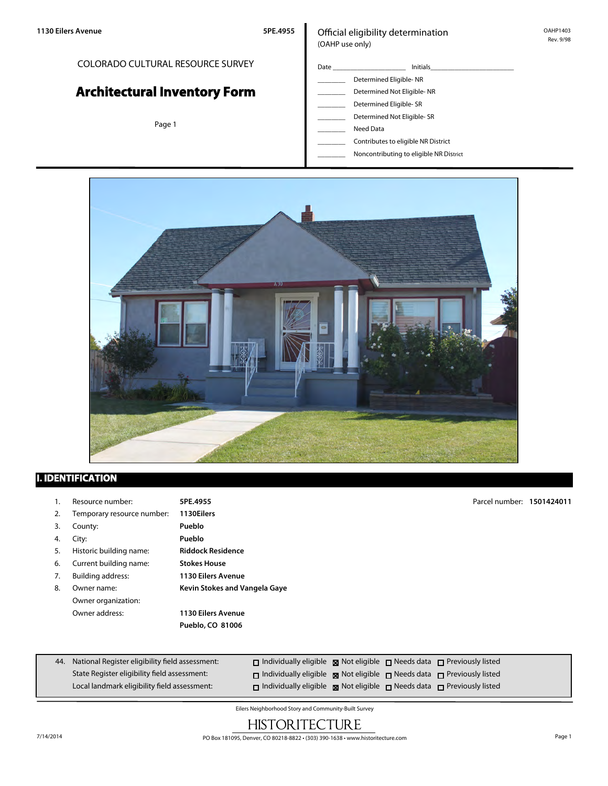#### COLORADO CULTURAL RESOURCE SURVEY

# **Architectural Inventory Form**

Page 1

#### Official eligibility determination (OAHP use only)

- Date \_\_\_\_\_\_\_\_\_\_\_\_\_\_\_\_\_\_\_\_\_ Initials\_\_\_\_\_\_\_\_\_\_\_\_\_\_\_\_\_\_\_\_\_\_\_\_ Determined Eligible- NR Determined Not Eligible- NR Determined Eligible- SR Determined Not Eligible- SR
	- \_\_\_\_\_\_\_\_ Need Data
	- \_\_\_\_\_\_\_\_ Contributes to eligible NR District
	- \_\_\_\_\_\_\_\_ Noncontributing to eligible NR District



### **I. IDENTIFICATION**

1. Resource number: **5PE.4955** 2. Temporary resource number: **1130Eilers** 3. County: **Pueblo** 4. City: **Pueblo** 5. Historic building name: **Riddock Residence** 6. Current building name: **Stokes House** 7. Building address: **1130 Eilers Avenue** 8. Owner name: **Kevin Stokes and Vangela Gaye** Owner organization: Owner address: **1130 Eilers Avenue Pueblo, CO 81006** Parcel number: **1501424011**

| 44. National Register eligibility field assessment: | $\Box$ Individually eligible $\Box$ Not eligible $\Box$ Needs data $\Box$ Previously listed |  |  |
|-----------------------------------------------------|---------------------------------------------------------------------------------------------|--|--|
| State Register eligibility field assessment:        | $\Box$ Individually eligible $\Box$ Not eligible $\Box$ Needs data $\Box$ Previously listed |  |  |
| Local landmark eligibility field assessment:        | $\Box$ Individually eligible $\Box$ Not eligible $\Box$ Needs data $\Box$ Previously listed |  |  |

Eilers Neighborhood Story and Community-Built Survey

## **HISTORITECTURE**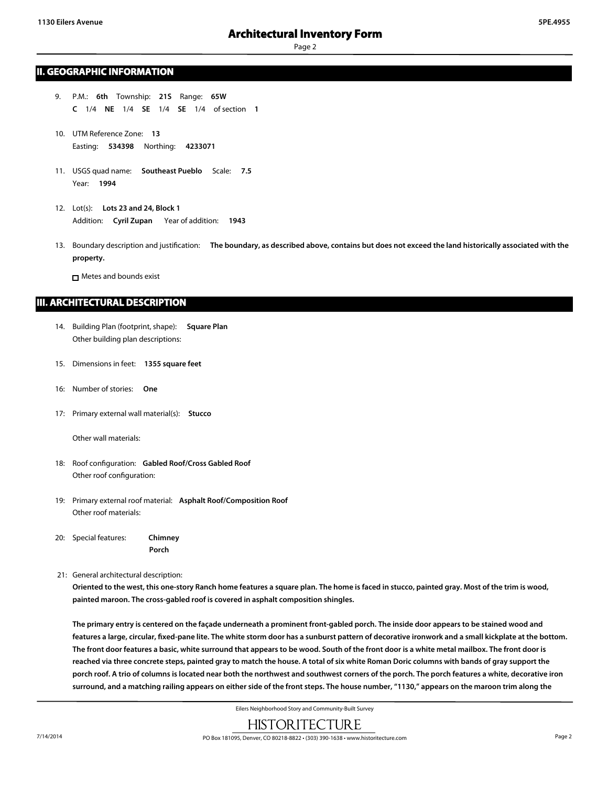#### **II. GEOGRAPHIC INFORMATION**

- 9. P.M.: **6th** Township: **21S** Range: **65W C** 1/4 **NE** 1/4 **SE** 1/4 **SE** 1/4 of section **1**
- 10. UTM Reference Zone: **13** Easting: **534398** Northing: **4233071**
- 11. USGS quad name: **Southeast Pueblo** Scale: **7.5** Year: **1994**
- 12. Lot(s): **Lots 23 and 24, Block 1** Addition: **Cyril Zupan** Year of addition: **1943**
- 13. Boundary description and justification: **The boundary, as described above, contains but does not exceed the land historically associated with the property.**

□ Metes and bounds exist

#### **III. ARCHITECTURAL DESCRIPTION**

- 14. Building Plan (footprint, shape): **Square Plan** Other building plan descriptions:
- 15. Dimensions in feet: **1355 square feet**
- 16: Number of stories: **One**
- 17: Primary external wall material(s): **Stucco**

Other wall materials:

- 18: Roof configuration: **Gabled Roof/Cross Gabled Roof** Other roof configuration:
- 19: Primary external roof material: **Asphalt Roof/Composition Roof** Other roof materials:
- 20: Special features: **Chimney Porch**
- 21: General architectural description:

**Oriented to the west, this one-story Ranch home features a square plan. The home is faced in stucco, painted gray. Most of the trim is wood, painted maroon. The cross-gabled roof is covered in asphalt composition shingles.**

**The primary entry is centered on the façade underneath a prominent front-gabled porch. The inside door appears to be stained wood and features a large, circular, fixed-pane lite. The white storm door has a sunburst pattern of decorative ironwork and a small kickplate at the bottom. The front door features a basic, white surround that appears to be wood. South of the front door is a white metal mailbox. The front door is reached via three concrete steps, painted gray to match the house. A total of six white Roman Doric columns with bands of gray support the porch roof. A trio of columns is located near both the northwest and southwest corners of the porch. The porch features a white, decorative iron surround, and a matching railing appears on either side of the front steps. The house number, "1130," appears on the maroon trim along the**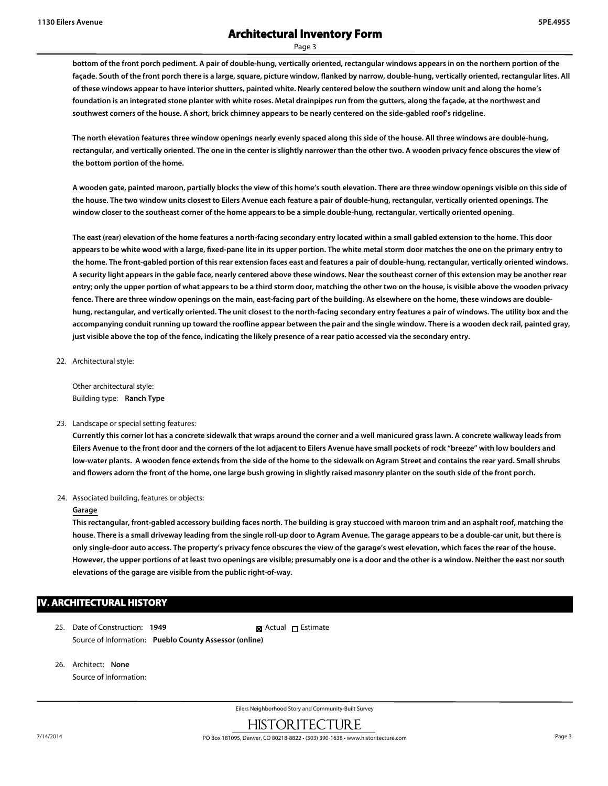**bottom of the front porch pediment. A pair of double-hung, vertically oriented, rectangular windows appears in on the northern portion of the façade. South of the front porch there is a large, square, picture window, flanked by narrow, double-hung, vertically oriented, rectangular lites. All of these windows appear to have interior shutters, painted white. Nearly centered below the southern window unit and along the home's foundation is an integrated stone planter with white roses. Metal drainpipes run from the gutters, along the façade, at the northwest and southwest corners of the house. A short, brick chimney appears to be nearly centered on the side-gabled roof's ridgeline.**

**The north elevation features three window openings nearly evenly spaced along this side of the house. All three windows are double-hung, rectangular, and vertically oriented. The one in the center is slightly narrower than the other two. A wooden privacy fence obscures the view of the bottom portion of the home.**

**A wooden gate, painted maroon, partially blocks the view of this home's south elevation. There are three window openings visible on this side of the house. The two window units closest to Eilers Avenue each feature a pair of double-hung, rectangular, vertically oriented openings. The window closer to the southeast corner of the home appears to be a simple double-hung, rectangular, vertically oriented opening.**

**The east (rear) elevation of the home features a north-facing secondary entry located within a small gabled extension to the home. This door appears to be white wood with a large, fixed-pane lite in its upper portion. The white metal storm door matches the one on the primary entry to the home. The front-gabled portion of this rear extension faces east and features a pair of double-hung, rectangular, vertically oriented windows. A security light appears in the gable face, nearly centered above these windows. Near the southeast corner of this extension may be another rear entry; only the upper portion of what appears to be a third storm door, matching the other two on the house, is visible above the wooden privacy fence. There are three window openings on the main, east-facing part of the building. As elsewhere on the home, these windows are doublehung, rectangular, and vertically oriented. The unit closest to the north-facing secondary entry features a pair of windows. The utility box and the accompanying conduit running up toward the roofline appear between the pair and the single window. There is a wooden deck rail, painted gray, just visible above the top of the fence, indicating the likely presence of a rear patio accessed via the secondary entry.**

22. Architectural style:

Other architectural style: Building type: **Ranch Type**

#### 23. Landscape or special setting features:

**Currently this corner lot has a concrete sidewalk that wraps around the corner and a well manicured grass lawn. A concrete walkway leads from Eilers Avenue to the front door and the corners of the lot adjacent to Eilers Avenue have small pockets of rock "breeze" with low boulders and low-water plants. A wooden fence extends from the side of the home to the sidewalk on Agram Street and contains the rear yard. Small shrubs and flowers adorn the front of the home, one large bush growing in slightly raised masonry planter on the south side of the front porch.**

#### 24. Associated building, features or objects:

#### **Garage**

**This rectangular, front-gabled accessory building faces north. The building is gray stuccoed with maroon trim and an asphalt roof, matching the house. There is a small driveway leading from the single roll-up door to Agram Avenue. The garage appears to be a double-car unit, but there is only single-door auto access. The property's privacy fence obscures the view of the garage's west elevation, which faces the rear of the house. However, the upper portions of at least two openings are visible; presumably one is a door and the other is a window. Neither the east nor south elevations of the garage are visible from the public right-of-way.**

#### **IV. ARCHITECTURAL HISTORY**

- 25. Date of Construction: **1949** Source of Information: **Pueblo County Assessor (online) Ex** Actual □ Estimate
- 26. Architect: **None** Source of Information: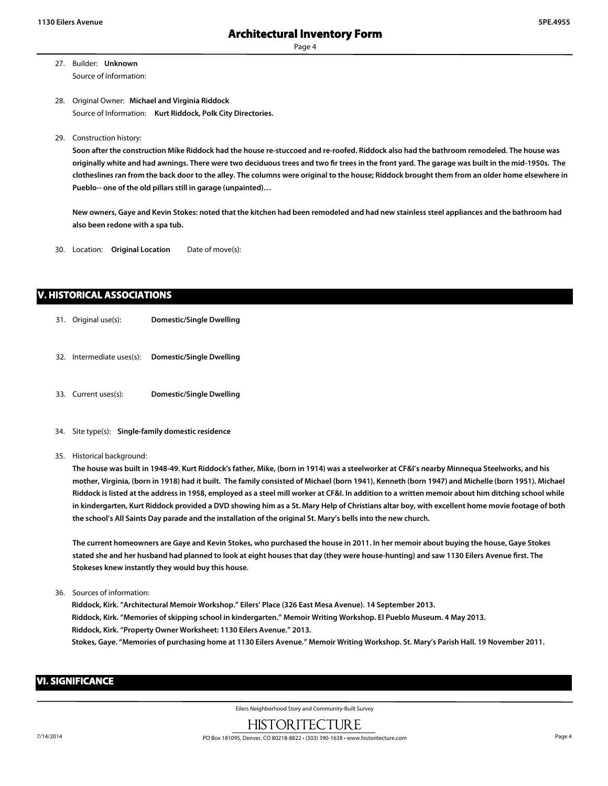- 27. Builder: **Unknown** Source of Information:
- 28. Original Owner: **Michael and Virginia Riddock** Source of Information: **Kurt Riddock, Polk City Directories.**
- 29. Construction history:

**Soon after the construction Mike Riddock had the house re-stuccoed and re-roofed. Riddock also had the bathroom remodeled. The house was originally white and had awnings. There were two deciduous trees and two fir trees in the front yard. The garage was built in the mid-1950s. The clotheslines ran from the back door to the alley. The columns were original to the house; Riddock brought them from an older home elsewhere in Pueblo-- one of the old pillars still in garage (unpainted)…**

**New owners, Gaye and Kevin Stokes: noted that the kitchen had been remodeled and had new stainless steel appliances and the bathroom had also been redone with a spa tub.**

30. Location: **Original Location** Date of move(s):

#### **V. HISTORICAL ASSOCIATIONS**

- 31. Original use(s): **Domestic/Single Dwelling**
- 32. Intermediate uses(s): **Domestic/Single Dwelling**
- 33. Current uses(s): **Domestic/Single Dwelling**
- 34. Site type(s): **Single-family domestic residence**
- 35. Historical background:

**The house was built in 1948-49. Kurt Riddock's father, Mike, (born in 1914) was a steelworker at CF&I's nearby Minnequa Steelworks, and his mother, Virginia, (born in 1918) had it built. The family consisted of Michael (born 1941), Kenneth (born 1947) and Michelle (born 1951). Michael Riddock is listed at the address in 1958, employed as a steel mill worker at CF&I. In addition to a written memoir about him ditching school while in kindergarten, Kurt Riddock provided a DVD showing him as a St. Mary Help of Christians altar boy, with excellent home movie footage of both the school's All Saints Day parade and the installation of the original St. Mary's bells into the new church.**

**The current homeowners are Gaye and Kevin Stokes, who purchased the house in 2011. In her memoir about buying the house, Gaye Stokes stated she and her husband had planned to look at eight houses that day (they were house-hunting) and saw 1130 Eilers Avenue first. The Stokeses knew instantly they would buy this house.**

36. Sources of information:

**Riddock, Kirk. "Architectural Memoir Workshop." Eilers' Place (326 East Mesa Avenue). 14 September 2013. Riddock, Kirk. "Memories of skipping school in kindergarten." Memoir Writing Workshop. El Pueblo Museum. 4 May 2013. Riddock, Kirk. "Property Owner Worksheet: 1130 Eilers Avenue." 2013. Stokes, Gaye. "Memories of purchasing home at 1130 Eilers Avenue." Memoir Writing Workshop. St. Mary's Parish Hall. 19 November 2011.**

#### **VI. SIGNIFICANCE**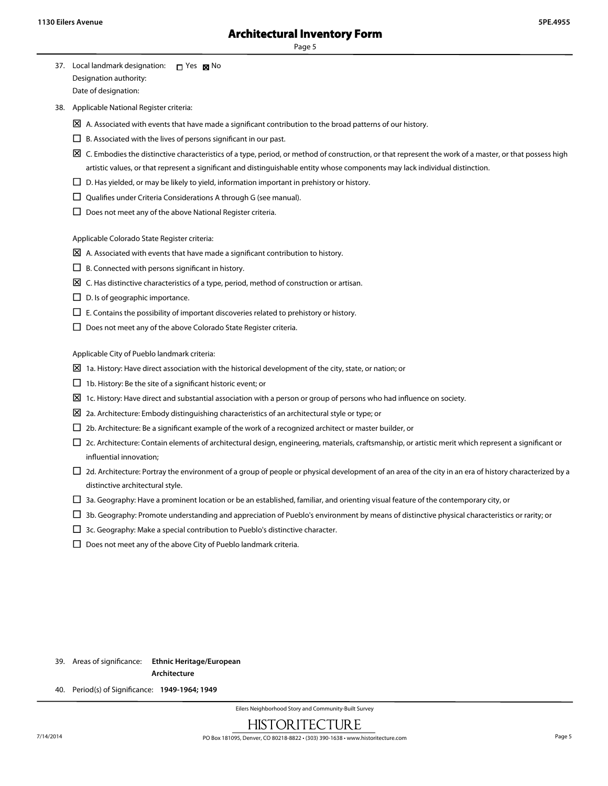- 37. Local landmark designation:  $\Box$  Yes  $\boxtimes$  No Designation authority: Date of designation:
- 38. Applicable National Register criteria:
	- $\boxtimes$  A. Associated with events that have made a significant contribution to the broad patterns of our history.
	- $\Box$  B. Associated with the lives of persons significant in our past.
	- $\boxtimes$  C. Embodies the distinctive characteristics of a type, period, or method of construction, or that represent the work of a master, or that possess high artistic values, or that represent a significant and distinguishable entity whose components may lack individual distinction.
	- $\square$  D. Has yielded, or may be likely to yield, information important in prehistory or history.
	- $\square$  Qualifies under Criteria Considerations A through G (see manual).
	- $\square$  Does not meet any of the above National Register criteria.

Applicable Colorado State Register criteria:

- $\boxtimes$  A. Associated with events that have made a significant contribution to history.
- $\square$  B. Connected with persons significant in history.
- $\Sigma$  C. Has distinctive characteristics of a type, period, method of construction or artisan.
- $\square$  D. Is of geographic importance.
- $\square$  E. Contains the possibility of important discoveries related to prehistory or history.
- $\square$  Does not meet any of the above Colorado State Register criteria.

Applicable City of Pueblo landmark criteria:

- $\boxtimes$  1a. History: Have direct association with the historical development of the city, state, or nation; or
- $\Box$  1b. History: Be the site of a significant historic event; or
- $\boxtimes$  1c. History: Have direct and substantial association with a person or group of persons who had influence on society.
- $\Sigma$  2a. Architecture: Embody distinguishing characteristics of an architectural style or type; or
- $\square$  2b. Architecture: Be a significant example of the work of a recognized architect or master builder, or
- $\Box$  2c. Architecture: Contain elements of architectural design, engineering, materials, craftsmanship, or artistic merit which represent a significant or influential innovation;
- $\Box$  2d. Architecture: Portray the environment of a group of people or physical development of an area of the city in an era of history characterized by a distinctive architectural style.
- $\square$  3a. Geography: Have a prominent location or be an established, familiar, and orienting visual feature of the contemporary city, or
- $\square$  3b. Geography: Promote understanding and appreciation of Pueblo's environment by means of distinctive physical characteristics or rarity; or
- $\square$  3c. Geography: Make a special contribution to Pueblo's distinctive character.
- $\square$  Does not meet any of the above City of Pueblo landmark criteria.

39. Areas of significance: **Ethnic Heritage/European**

**Architecture**

40. Period(s) of Significance: **1949-1964; 1949**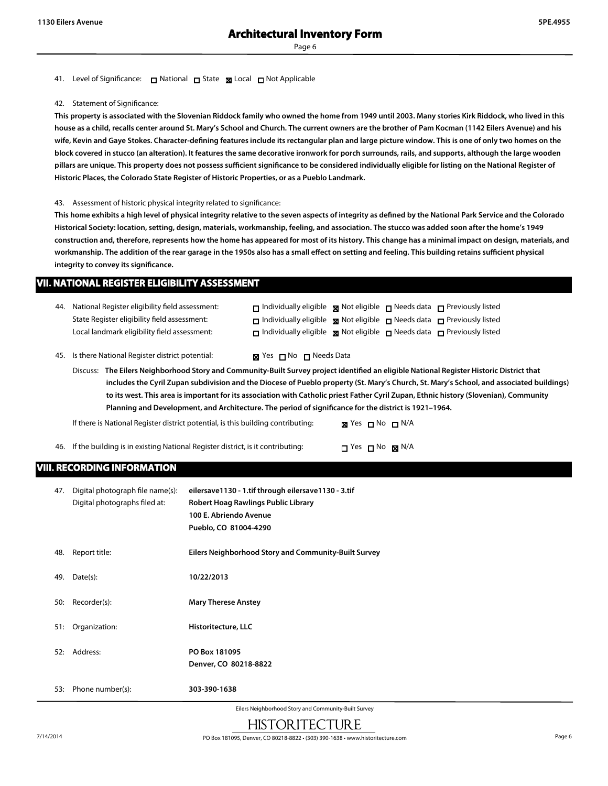#### 41. Level of Significance: □ National □ State 図 Local □ Not Applicable

#### 42. Statement of Significance:

**This property is associated with the Slovenian Riddock family who owned the home from 1949 until 2003. Many stories Kirk Riddock, who lived in this house as a child, recalls center around St. Mary's School and Church. The current owners are the brother of Pam Kocman (1142 Eilers Avenue) and his wife, Kevin and Gaye Stokes. Character-defining features include its rectangular plan and large picture window. This is one of only two homes on the block covered in stucco (an alteration). It features the same decorative ironwork for porch surrounds, rails, and supports, although the large wooden pillars are unique. This property does not possess sufficient significance to be considered individually eligible for listing on the National Register of Historic Places, the Colorado State Register of Historic Properties, or as a Pueblo Landmark.**

#### 43. Assessment of historic physical integrity related to significance:

**This home exhibits a high level of physical integrity relative to the seven aspects of integrity as defined by the National Park Service and the Colorado Historical Society: location, setting, design, materials, workmanship, feeling, and association. The stucco was added soon after the home's 1949 construction and, therefore, represents how the home has appeared for most of its history. This change has a minimal impact on design, materials, and workmanship. The addition of the rear garage in the 1950s also has a small effect on setting and feeling. This building retains sufficient physical integrity to convey its significance.**

#### **VII. NATIONAL REGISTER ELIGIBILITY ASSESSMENT**

| 44. | National Register eligibility field assessment:                                                                                           | $\Box$ Individually eligible $\Box$ Not eligible $\Box$ Needs data $\Box$ Previously listed |  |
|-----|-------------------------------------------------------------------------------------------------------------------------------------------|---------------------------------------------------------------------------------------------|--|
|     | State Register eligibility field assessment:                                                                                              | $\Box$ Individually eligible $\Box$ Not eligible $\Box$ Needs data $\Box$ Previously listed |  |
|     | Local landmark eligibility field assessment:                                                                                              | $\Box$ Individually eligible $\Box$ Not eligible $\Box$ Needs data $\Box$ Previously listed |  |
|     |                                                                                                                                           |                                                                                             |  |
|     | 45. Is there National Register district potential:                                                                                        | $\boxtimes$ Yes $\Box$ No $\Box$ Needs Data                                                 |  |
|     | Discuss: The Eilers Neighborhood Story and Community-Built Survey project identified an eligible National Register Historic District that |                                                                                             |  |

**includes the Cyril Zupan subdivision and the Diocese of Pueblo property (St. Mary's Church, St. Mary's School, and associated buildings) to its west. This area is important for its association with Catholic priest Father Cyril Zupan, Ethnic history (Slovenian), Community Planning and Development, and Architecture. The period of significance for the district is 1921–1964.**

If there is National Register district potential, is this building contributing: **No No Ni** N/A

46. If the building is in existing National Register district, is it contributing:  $\square$  Yes  $\square$  No  $\square$  N/A

#### **VIII. RECORDING INFORMATION**

| 47. | Digital photograph file name(s):<br>Digital photographs filed at: | eilersave1130 - 1.tif through eilersave1130 - 3.tif<br>Robert Hoag Rawlings Public Library<br>100 E. Abriendo Avenue<br>Pueblo, CO 81004-4290 |
|-----|-------------------------------------------------------------------|-----------------------------------------------------------------------------------------------------------------------------------------------|
| 48. | Report title:                                                     | Eilers Neighborhood Story and Community-Built Survey                                                                                          |
| 49. | Date(s):                                                          | 10/22/2013                                                                                                                                    |
| 50: | Recorder(s):                                                      | <b>Mary Therese Anstey</b>                                                                                                                    |
|     | 51: Organization:                                                 | Historitecture, LLC                                                                                                                           |
|     | 52: Address:                                                      | PO Box 181095<br>Denver, CO 80218-8822                                                                                                        |
|     | 53: Phone number(s):                                              | 303-390-1638                                                                                                                                  |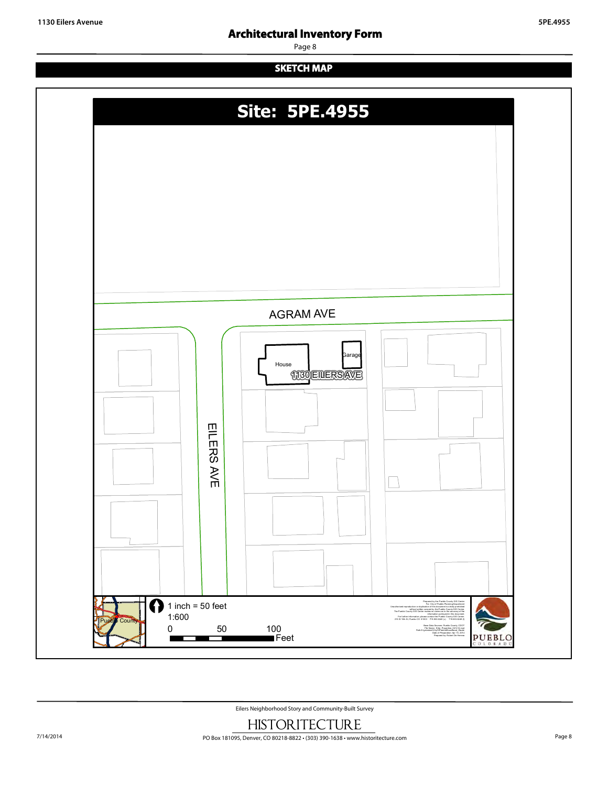### **Architectural Inventory Form**

Page 8

### **SKETCH MAP**